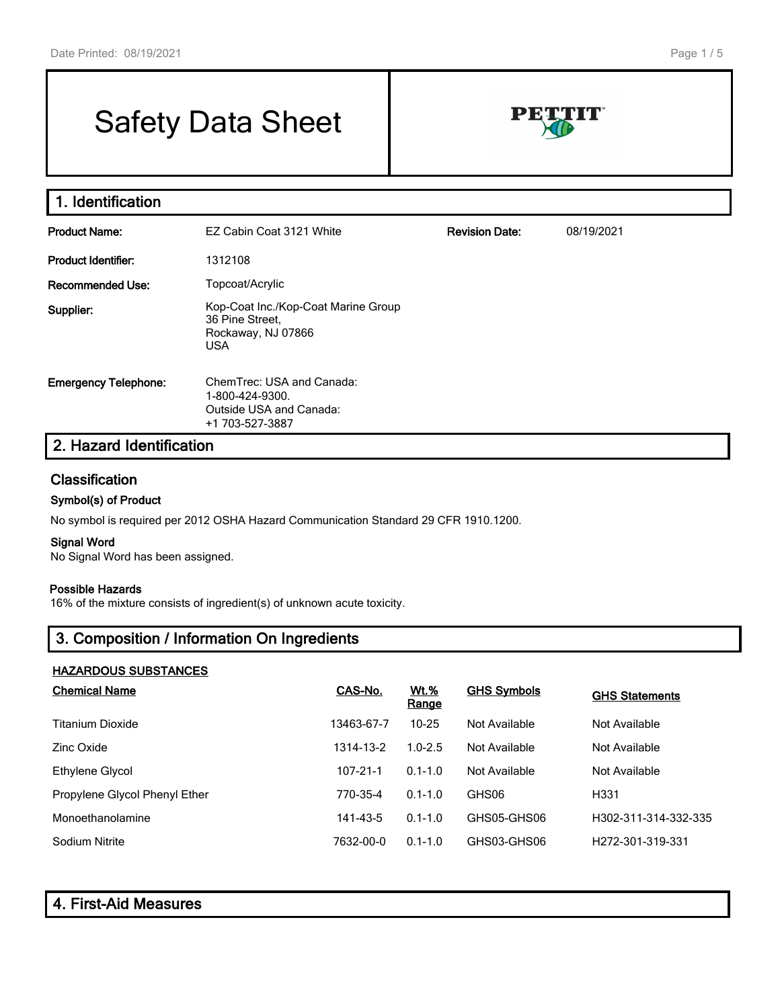# Safety Data Sheet



| 1. Identification           |                                                                                            |                       |            |
|-----------------------------|--------------------------------------------------------------------------------------------|-----------------------|------------|
| <b>Product Name:</b>        | EZ Cabin Coat 3121 White                                                                   | <b>Revision Date:</b> | 08/19/2021 |
| Product Identifier:         | 1312108                                                                                    |                       |            |
| <b>Recommended Use:</b>     | Topcoat/Acrylic                                                                            |                       |            |
| Supplier:                   | Kop-Coat Inc./Kop-Coat Marine Group<br>36 Pine Street,<br>Rockaway, NJ 07866<br><b>USA</b> |                       |            |
| <b>Emergency Telephone:</b> | ChemTrec: USA and Canada:<br>1-800-424-9300.<br>Outside USA and Canada:<br>+1 703-527-3887 |                       |            |
| 2. Hazard Identification    |                                                                                            |                       |            |

#### **Classification**

#### Symbol(s) of Product

No symbol is required per 2012 OSHA Hazard Communication Standard 29 CFR 1910.1200.

#### Signal Word

No Signal Word has been assigned.

#### Possible Hazards

16% of the mixture consists of ingredient(s) of unknown acute toxicity.

### 3. Composition / Information On Ingredients

#### HAZARDOUS SUBSTANCES

| <b>Chemical Name</b>          | CAS-No.    | <u>Wt.%</u><br><b>Range</b> | <b>GHS Symbols</b> | <b>GHS Statements</b>         |
|-------------------------------|------------|-----------------------------|--------------------|-------------------------------|
| Titanium Dioxide              | 13463-67-7 | $10 - 25$                   | Not Available      | Not Available                 |
| Zinc Oxide                    | 1314-13-2  | $1.0 - 2.5$                 | Not Available      | Not Available                 |
| Ethylene Glycol               | 107-21-1   | $0.1 - 1.0$                 | Not Available      | Not Available                 |
| Propylene Glycol Phenyl Ether | 770-35-4   | $0.1 - 1.0$                 | GHS06              | H <sub>331</sub>              |
| Monoethanolamine              | 141-43-5   | $0.1 - 1.0$                 | GHS05-GHS06        | H302-311-314-332-335          |
| Sodium Nitrite                | 7632-00-0  | $0.1 - 1.0$                 | GHS03-GHS06        | H <sub>272</sub> -301-319-331 |

| 4. First-Aid Measures |  |
|-----------------------|--|
|-----------------------|--|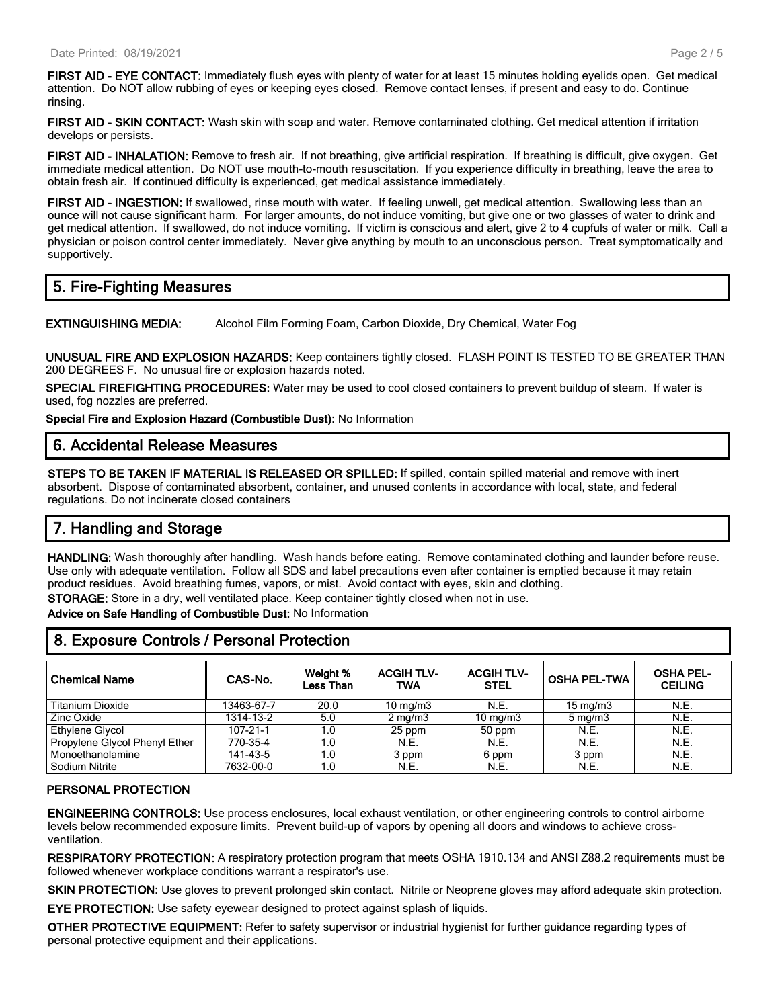FIRST AID - EYE CONTACT: Immediately flush eyes with plenty of water for at least 15 minutes holding eyelids open. Get medical attention. Do NOT allow rubbing of eyes or keeping eyes closed. Remove contact lenses, if present and easy to do. Continue rinsing.

FIRST AID - SKIN CONTACT: Wash skin with soap and water. Remove contaminated clothing. Get medical attention if irritation develops or persists.

FIRST AID - INHALATION: Remove to fresh air. If not breathing, give artificial respiration. If breathing is difficult, give oxygen. Get immediate medical attention. Do NOT use mouth-to-mouth resuscitation. If you experience difficulty in breathing, leave the area to obtain fresh air. If continued difficulty is experienced, get medical assistance immediately.

FIRST AID - INGESTION: If swallowed, rinse mouth with water. If feeling unwell, get medical attention. Swallowing less than an ounce will not cause significant harm. For larger amounts, do not induce vomiting, but give one or two glasses of water to drink and get medical attention. If swallowed, do not induce vomiting. If victim is conscious and alert, give 2 to 4 cupfuls of water or milk. Call a physician or poison control center immediately. Never give anything by mouth to an unconscious person. Treat symptomatically and supportively.

#### 5. Fire-Fighting Measures

EXTINGUISHING MEDIA: Alcohol Film Forming Foam, Carbon Dioxide, Dry Chemical, Water Fog

UNUSUAL FIRE AND EXPLOSION HAZARDS: Keep containers tightly closed. FLASH POINT IS TESTED TO BE GREATER THAN 200 DEGREES F. No unusual fire or explosion hazards noted.

SPECIAL FIREFIGHTING PROCEDURES: Water may be used to cool closed containers to prevent buildup of steam. If water is used, fog nozzles are preferred.

Special Fire and Explosion Hazard (Combustible Dust): No Information

#### 6. Accidental Release Measures

STEPS TO BE TAKEN IF MATERIAL IS RELEASED OR SPILLED: If spilled, contain spilled material and remove with inert absorbent. Dispose of contaminated absorbent, container, and unused contents in accordance with local, state, and federal regulations. Do not incinerate closed containers

### 7. Handling and Storage

HANDLING: Wash thoroughly after handling. Wash hands before eating. Remove contaminated clothing and launder before reuse. Use only with adequate ventilation. Follow all SDS and label precautions even after container is emptied because it may retain product residues. Avoid breathing fumes, vapors, or mist. Avoid contact with eyes, skin and clothing. STORAGE: Store in a dry, well ventilated place. Keep container tightly closed when not in use.

Advice on Safe Handling of Combustible Dust: No Information

#### 8. Exposure Controls / Personal Protection

| <b>Chemical Name</b>          | CAS-No.        | Weight %<br>Less Than | <b>ACGIHTLV-</b><br><b>TWA</b> | <b>ACGIH TLV-</b><br><b>STEL</b> | <b>OSHA PEL-TWA</b> | <b>OSHA PEL-</b><br><b>CEILING</b> |
|-------------------------------|----------------|-----------------------|--------------------------------|----------------------------------|---------------------|------------------------------------|
| <b>Titanium Dioxide</b>       | 13463-67-7     | 20.0                  | $10 \text{ mg/m}$              | N.E.                             | $15 \text{ mg/m}$   | N.E.                               |
| Zinc Oxide                    | 1314-13-2      | 5.0                   | $2 \text{ mg/m}$               | $10 \text{ mg/m}$                | $5 \text{ mg/m}$    | N.E.                               |
| Ethylene Glycol               | $107 - 21 - 1$ | 1.0                   | 25 ppm                         | 50 ppm                           | N.E.                | N.E.                               |
| Propylene Glycol Phenyl Ether | 770-35-4       | 1.0                   | N.E.                           | N.E.                             | N.E.                | N.E.                               |
| Monoethanolamine              | 141-43-5       | 1.0                   | 3 ppm                          | 6 ppm                            | 3 ppm               | N.E.                               |
| Sodium Nitrite                | 7632-00-0      | 1.0                   | N.E.                           | N.E.                             | N.E.                | N.E.                               |

#### PERSONAL PROTECTION

ENGINEERING CONTROLS: Use process enclosures, local exhaust ventilation, or other engineering controls to control airborne levels below recommended exposure limits. Prevent build-up of vapors by opening all doors and windows to achieve crossventilation.

RESPIRATORY PROTECTION: A respiratory protection program that meets OSHA 1910.134 and ANSI Z88.2 requirements must be followed whenever workplace conditions warrant a respirator's use.

SKIN PROTECTION: Use gloves to prevent prolonged skin contact. Nitrile or Neoprene gloves may afford adequate skin protection.

EYE PROTECTION: Use safety eyewear designed to protect against splash of liquids.

OTHER PROTECTIVE EQUIPMENT: Refer to safety supervisor or industrial hygienist for further guidance regarding types of personal protective equipment and their applications.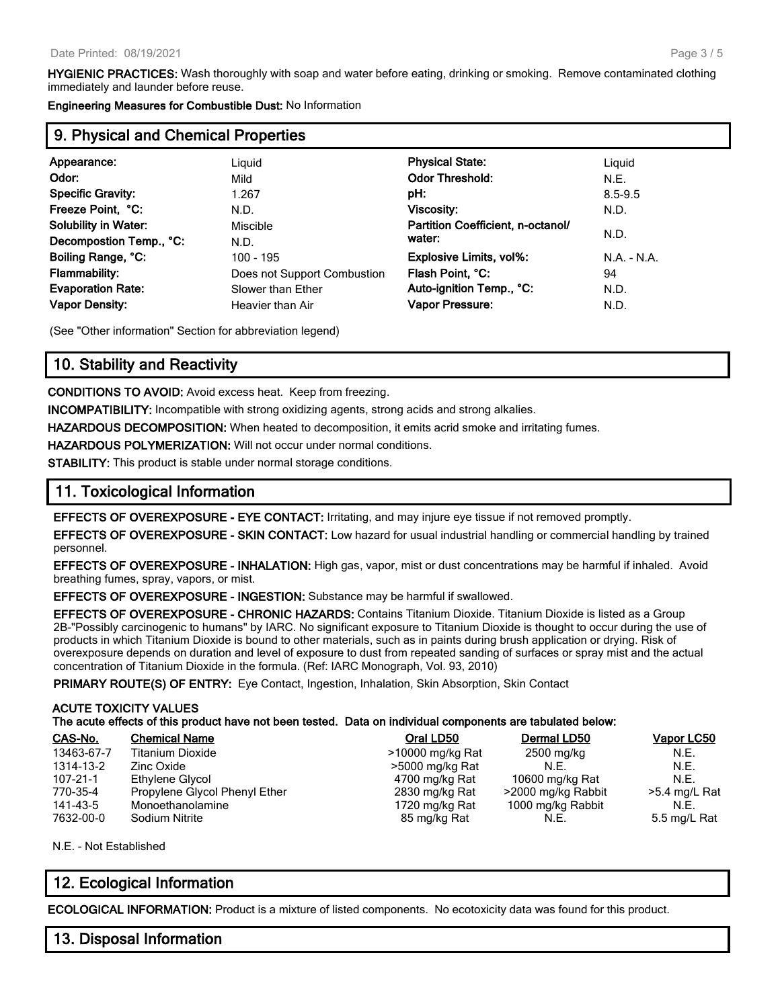HYGIENIC PRACTICES: Wash thoroughly with soap and water before eating, drinking or smoking. Remove contaminated clothing immediately and launder before reuse.

Engineering Measures for Combustible Dust: No Information

#### 9. Physical and Chemical Properties

| Appearance:                 | Liguid                      | <b>Physical State:</b>            | Liguid        |
|-----------------------------|-----------------------------|-----------------------------------|---------------|
| Odor:                       | Mild                        | <b>Odor Threshold:</b>            | N.E.          |
| <b>Specific Gravity:</b>    | 1.267                       | pH:                               | $8.5 - 9.5$   |
| Freeze Point, °C:           | N.D.                        | <b>Viscosity:</b>                 | N.D.          |
| <b>Solubility in Water:</b> | Miscible                    | Partition Coefficient, n-octanol/ |               |
| Decompostion Temp., °C:     | N.D.                        | water:                            | N.D.          |
| Boiling Range, °C:          | $100 - 195$                 | Explosive Limits, vol%:           | $N.A. - N.A.$ |
| <b>Flammability:</b>        | Does not Support Combustion | Flash Point, °C:                  | 94            |
| <b>Evaporation Rate:</b>    | Slower than Ether           | Auto-ignition Temp., °C:          | N.D.          |
| <b>Vapor Density:</b>       | Heavier than Air            | Vapor Pressure:                   | N.D.          |
|                             |                             |                                   |               |

(See "Other information" Section for abbreviation legend)

#### 10. Stability and Reactivity

CONDITIONS TO AVOID: Avoid excess heat. Keep from freezing.

INCOMPATIBILITY: Incompatible with strong oxidizing agents, strong acids and strong alkalies.

HAZARDOUS DECOMPOSITION: When heated to decomposition, it emits acrid smoke and irritating fumes.

HAZARDOUS POLYMERIZATION: Will not occur under normal conditions.

STABILITY: This product is stable under normal storage conditions.

#### 11. Toxicological Information

EFFECTS OF OVEREXPOSURE - EYE CONTACT: Irritating, and may injure eye tissue if not removed promptly.

EFFECTS OF OVEREXPOSURE - SKIN CONTACT: Low hazard for usual industrial handling or commercial handling by trained personnel.

EFFECTS OF OVEREXPOSURE - INHALATION: High gas, vapor, mist or dust concentrations may be harmful if inhaled. Avoid breathing fumes, spray, vapors, or mist.

EFFECTS OF OVEREXPOSURE - INGESTION: Substance may be harmful if swallowed.

EFFECTS OF OVEREXPOSURE - CHRONIC HAZARDS: Contains Titanium Dioxide. Titanium Dioxide is listed as a Group 2B-"Possibly carcinogenic to humans" by IARC. No significant exposure to Titanium Dioxide is thought to occur during the use of products in which Titanium Dioxide is bound to other materials, such as in paints during brush application or drying. Risk of overexposure depends on duration and level of exposure to dust from repeated sanding of surfaces or spray mist and the actual concentration of Titanium Dioxide in the formula. (Ref: IARC Monograph, Vol. 93, 2010)

PRIMARY ROUTE(S) OF ENTRY: Eye Contact, Ingestion, Inhalation, Skin Absorption, Skin Contact

#### ACUTE TOXICITY VALUES

| CAS-No.    | <b>Chemical Name</b>          | Oral LD50        | Dermal LD50        | Vapor LC50    |
|------------|-------------------------------|------------------|--------------------|---------------|
| 13463-67-7 | Titanium Dioxide              | >10000 mg/kg Rat | 2500 mg/kg         | N.E.          |
| 1314-13-2  | Zinc Oxide                    | >5000 mg/kg Rat  | N.F.               | N.E.          |
| 107-21-1   | Ethylene Glycol               | 4700 mg/kg Rat   | 10600 mg/kg Rat    | N.E.          |
| 770-35-4   | Propylene Glycol Phenyl Ether | 2830 mg/kg Rat   | >2000 mg/kg Rabbit | >5.4 mg/L Rat |
| 141-43-5   | Monoethanolamine              | 1720 mg/kg Rat   | 1000 mg/kg Rabbit  | N.E.          |
| 7632-00-0  | Sodium Nitrite                | 85 mg/kg Rat     | N.E.               | 5.5 mg/L Rat  |

N.E. - Not Established

#### 12. Ecological Information

ECOLOGICAL INFORMATION: Product is a mixture of listed components. No ecotoxicity data was found for this product.

#### 13. Disposal Information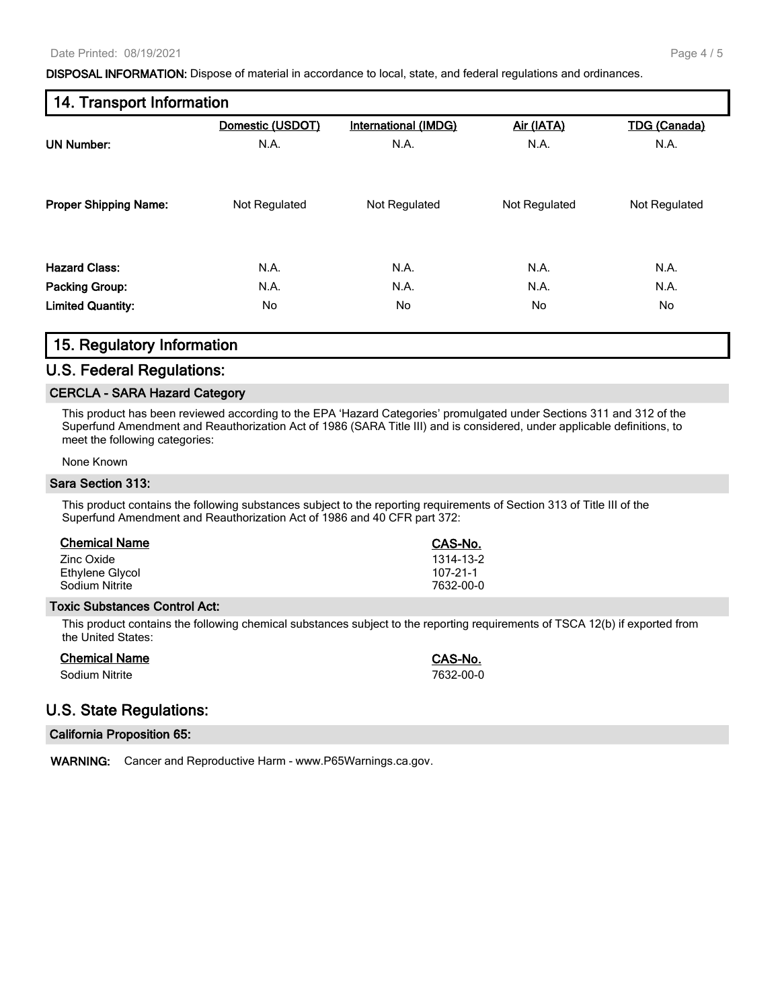DISPOSAL INFORMATION: Dispose of material in accordance to local, state, and federal regulations and ordinances.

## 14. Transport Information Domestic (USDOT) International (IMDG) Air (IATA) TDG (Canada)

| <b>UN Number:</b>            | N.A.          | N.A.          | N.A.          | N.A.          |
|------------------------------|---------------|---------------|---------------|---------------|
| <b>Proper Shipping Name:</b> | Not Regulated | Not Regulated | Not Regulated | Not Regulated |
| <b>Hazard Class:</b>         | N.A.          | N.A.          | N.A.          | N.A.          |
| <b>Packing Group:</b>        | N.A.          | N.A.          | N.A.          | N.A.          |
| <b>Limited Quantity:</b>     | No            | No            | No            | No            |
|                              |               |               |               |               |

#### 15. Regulatory Information

#### U.S. Federal Regulations:

#### CERCLA - SARA Hazard Category

This product has been reviewed according to the EPA 'Hazard Categories' promulgated under Sections 311 and 312 of the Superfund Amendment and Reauthorization Act of 1986 (SARA Title III) and is considered, under applicable definitions, to meet the following categories:

#### None Known

#### Sara Section 313:

This product contains the following substances subject to the reporting requirements of Section 313 of Title III of the Superfund Amendment and Reauthorization Act of 1986 and 40 CFR part 372:

| <b>Chemical Name</b> | CAS-No.   |
|----------------------|-----------|
| Zinc Oxide           | 1314-13-2 |
| Ethylene Glycol      | 107-21-1  |
| Sodium Nitrite       | 7632-00-0 |

#### Toxic Substances Control Act:

This product contains the following chemical substances subject to the reporting requirements of TSCA 12(b) if exported from the United States:

#### Chemical Name Chemical Name CAS-No.

Sodium Nitrite 7632-00-0

### U.S. State Regulations:

#### California Proposition 65:

WARNING: Cancer and Reproductive Harm - www.P65Warnings.ca.gov.